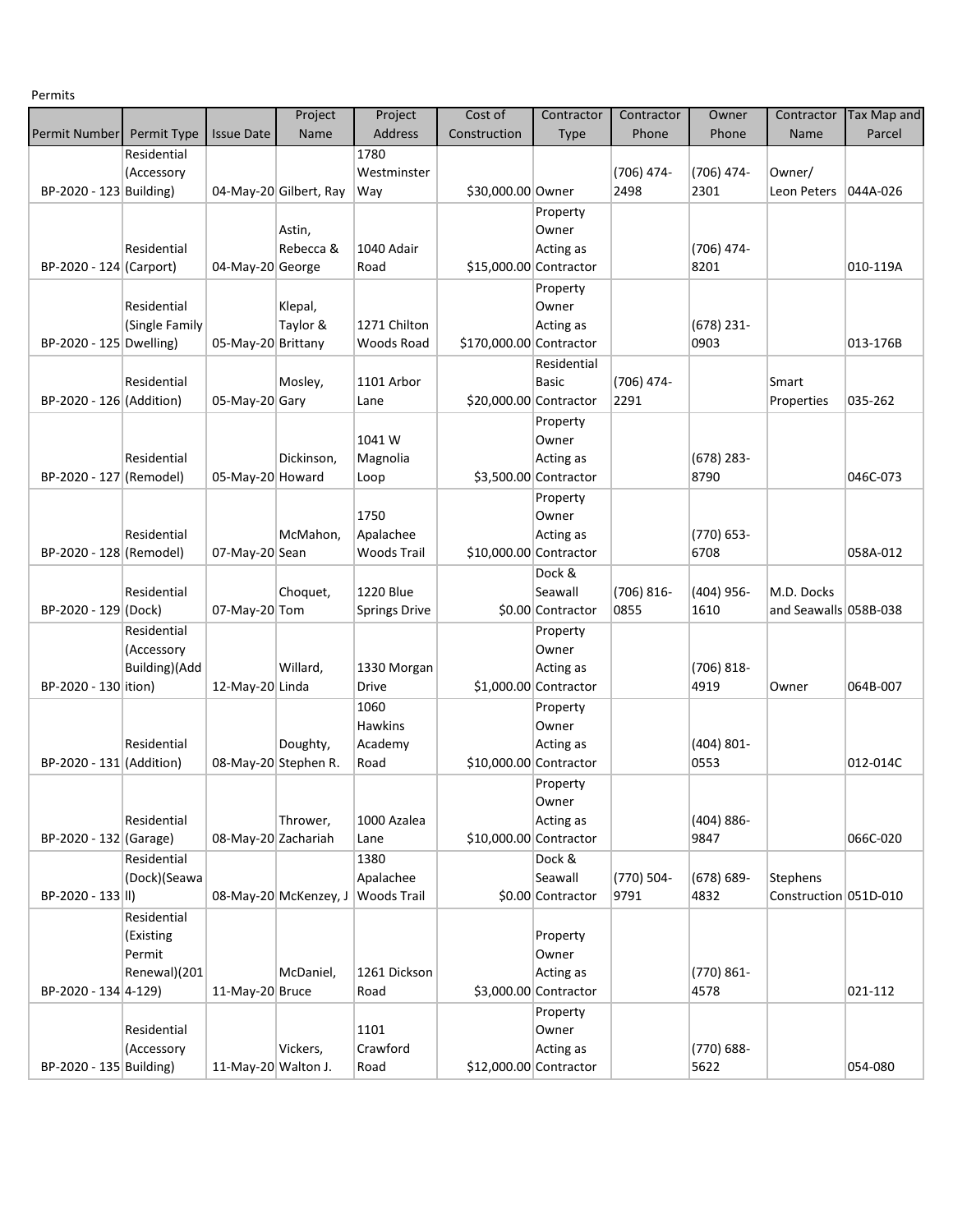Permits

|                          |                             |                     | Project                | Project              | Cost of                 | Contractor             | Contractor | Owner         | Contractor            | <b>Tax Map and</b> |
|--------------------------|-----------------------------|---------------------|------------------------|----------------------|-------------------------|------------------------|------------|---------------|-----------------------|--------------------|
| <b>Permit Number</b>     | Permit Type                 | <b>Issue Date</b>   | Name                   | <b>Address</b>       | Construction            | <b>Type</b>            | Phone      | Phone         | <b>Name</b>           | Parcel             |
|                          | Residential                 |                     |                        | 1780                 |                         |                        |            |               |                       |                    |
|                          | (Accessory                  |                     |                        | Westminster          |                         |                        | (706) 474- | $(706)$ 474-  | Owner/                |                    |
| BP-2020 - 123 Building)  |                             |                     | 04-May-20 Gilbert, Ray | Way                  | \$30,000.00 Owner       |                        | 2498       | 2301          | Leon Peters           | 044A-026           |
|                          |                             |                     |                        |                      |                         | Property               |            |               |                       |                    |
|                          |                             |                     | Astin,                 |                      |                         | Owner                  |            |               |                       |                    |
|                          | Residential                 |                     | Rebecca &              | 1040 Adair           |                         | Acting as              |            | (706) 474-    |                       |                    |
| BP-2020 - 124 (Carport)  |                             | 04-May-20 George    |                        | Road                 | \$15,000.00 Contractor  |                        |            | 8201          |                       | 010-119A           |
|                          |                             |                     |                        |                      |                         | Property               |            |               |                       |                    |
|                          | Residential                 |                     | Klepal,                |                      |                         | Owner                  |            |               |                       |                    |
|                          | (Single Family              |                     | Taylor &               | 1271 Chilton         |                         | Acting as              |            | $(678)$ 231-  |                       |                    |
| BP-2020 - 125 Dwelling)  |                             | 05-May-20 Brittany  |                        | Woods Road           | \$170,000.00 Contractor |                        |            | 0903          |                       | 013-176B           |
|                          |                             |                     |                        |                      |                         | Residential            |            |               |                       |                    |
|                          | Residential                 |                     | Mosley,                | 1101 Arbor           |                         | <b>Basic</b>           | (706) 474- |               | Smart                 |                    |
| BP-2020 - 126 (Addition) |                             | 05-May-20 Gary      |                        | Lane                 | \$20,000.00 Contractor  |                        | 2291       |               | Properties            | 035-262            |
|                          |                             |                     |                        |                      |                         | Property               |            |               |                       |                    |
|                          |                             |                     |                        | 1041W                |                         | Owner                  |            |               |                       |                    |
|                          | Residential                 |                     | Dickinson,             | Magnolia             |                         | Acting as              |            | $(678)$ 283-  |                       |                    |
| BP-2020 - 127 (Remodel)  |                             | 05-May-20 Howard    |                        | Loop                 |                         | \$3,500.00 Contractor  |            | 8790          |                       | 046C-073           |
|                          |                             |                     |                        |                      |                         | Property               |            |               |                       |                    |
|                          |                             |                     |                        | 1750                 |                         | Owner                  |            |               |                       |                    |
|                          | Residential                 |                     | McMahon,               | Apalachee            |                         | Acting as              |            | $(770) 653 -$ |                       |                    |
| BP-2020 - 128 (Remodel)  |                             | 07-May-20 Sean      |                        | <b>Woods Trail</b>   | \$10,000.00 Contractor  |                        |            | 6708          |                       | 058A-012           |
|                          |                             |                     |                        |                      |                         | Dock &                 |            |               |                       |                    |
|                          | Residential                 |                     | Choquet,               | <b>1220 Blue</b>     |                         | Seawall                | (706) 816- | $(404)$ 956-  | M.D. Docks            |                    |
| BP-2020 - 129 (Dock)     |                             | 07-May-20 Tom       |                        | <b>Springs Drive</b> |                         | \$0.00 Contractor      | 0855       | 1610          | and Seawalls 058B-038 |                    |
|                          | Residential                 |                     |                        |                      |                         | Property               |            |               |                       |                    |
|                          | (Accessory<br>Building)(Add |                     | Willard,               | 1330 Morgan          |                         | Owner<br>Acting as     |            | $(706) 818 -$ |                       |                    |
| BP-2020 - 130 ition)     |                             | 12-May-20 Linda     |                        | <b>Drive</b>         |                         | $$1,000.00$ Contractor |            | 4919          | Owner                 | 064B-007           |
|                          |                             |                     |                        | 1060                 |                         | Property               |            |               |                       |                    |
|                          |                             |                     |                        | <b>Hawkins</b>       |                         | Owner                  |            |               |                       |                    |
|                          | Residential                 |                     | Doughty,               | Academy              |                         | Acting as              |            | $(404) 801 -$ |                       |                    |
| BP-2020 - 131 (Addition) |                             |                     | 08-May-20 Stephen R.   | Road                 | \$10,000.00 Contractor  |                        |            | 0553          |                       | 012-014C           |
|                          |                             |                     |                        |                      |                         | Property               |            |               |                       |                    |
|                          |                             |                     |                        |                      |                         | Owner                  |            |               |                       |                    |
|                          | Residential                 |                     | Thrower,               | 1000 Azalea          |                         | Acting as              |            | $(404) 886 -$ |                       |                    |
| BP-2020 - 132 (Garage)   |                             | 08-May-20 Zachariah |                        | Lane                 | \$10,000.00 Contractor  |                        |            | 9847          |                       | 066C-020           |
|                          | Residential                 |                     |                        | 1380                 |                         | Dock &                 |            |               |                       |                    |
|                          | (Dock)(Seawa                |                     |                        | Apalachee            |                         | Seawall                | (770) 504- | $(678) 689 -$ | Stephens              |                    |
| BP-2020 - 133 II)        |                             |                     | 08-May-20 McKenzey, J  | Woods Trail          |                         | \$0.00 Contractor      | 9791       | 4832          | Construction 051D-010 |                    |
|                          | Residential                 |                     |                        |                      |                         |                        |            |               |                       |                    |
|                          | (Existing                   |                     |                        |                      |                         | Property               |            |               |                       |                    |
|                          | Permit                      |                     |                        |                      |                         | Owner                  |            |               |                       |                    |
|                          | Renewal)(201                |                     | McDaniel,              | 1261 Dickson         |                         | Acting as              |            | $(770) 861 -$ |                       |                    |
| BP-2020 - 134 4-129)     |                             | 11-May-20 Bruce     |                        | Road                 |                         | \$3,000.00 Contractor  |            | 4578          |                       | 021-112            |
|                          |                             |                     |                        |                      |                         | Property               |            |               |                       |                    |
|                          | Residential                 |                     |                        | 1101                 |                         | Owner                  |            |               |                       |                    |
|                          | (Accessory                  |                     | Vickers,               | Crawford             |                         | Acting as              |            | $(770) 688 -$ |                       |                    |
| BP-2020 - 135 Building)  |                             | 11-May-20 Walton J. |                        | Road                 | \$12,000.00 Contractor  |                        |            | 5622          |                       | 054-080            |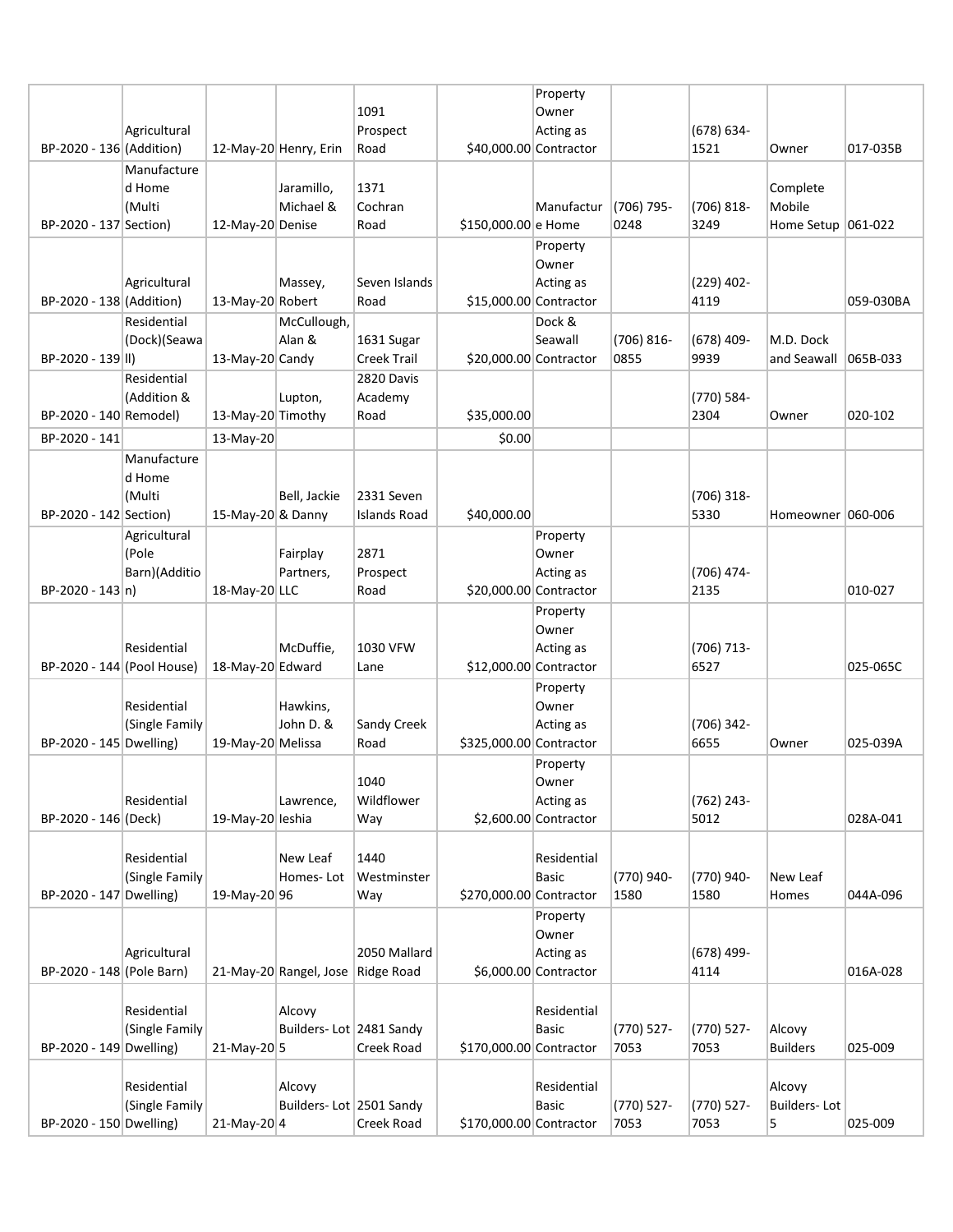|                            |                  |                   |                         |                     |                         | Property              |                    |               |                       |           |
|----------------------------|------------------|-------------------|-------------------------|---------------------|-------------------------|-----------------------|--------------------|---------------|-----------------------|-----------|
|                            |                  |                   |                         | 1091                |                         | Owner                 |                    |               |                       |           |
|                            | Agricultural     |                   |                         | Prospect            |                         | Acting as             |                    | $(678) 634 -$ |                       |           |
| BP-2020 - 136 (Addition)   |                  |                   | 12-May-20 Henry, Erin   | Road                | \$40,000.00 Contractor  |                       |                    | 1521          | Owner                 | 017-035B  |
|                            | Manufacture      |                   |                         |                     |                         |                       |                    |               |                       |           |
|                            | d Home<br>(Multi |                   | Jaramillo,<br>Michael & | 1371<br>Cochran     |                         |                       |                    | (706) 818-    | Complete<br>Mobile    |           |
| BP-2020 - 137 Section)     |                  | 12-May-20 Denise  |                         | Road                | \$150,000.00 e Home     | Manufactur            | (706) 795-<br>0248 | 3249          | Home Setup $ 061-022$ |           |
|                            |                  |                   |                         |                     |                         | Property              |                    |               |                       |           |
|                            |                  |                   |                         |                     |                         | Owner                 |                    |               |                       |           |
|                            | Agricultural     |                   | Massey,                 | Seven Islands       |                         | Acting as             |                    | $(229)$ 402-  |                       |           |
| BP-2020 - 138 (Addition)   |                  | 13-May-20 Robert  |                         | Road                | \$15,000.00 Contractor  |                       |                    | 4119          |                       | 059-030BA |
|                            | Residential      |                   | McCullough,             |                     |                         | Dock &                |                    |               |                       |           |
|                            | (Dock)(Seawa     |                   | Alan &                  | 1631 Sugar          |                         | Seawall               | (706) 816-         | $(678)$ 409-  | M.D. Dock             |           |
| BP-2020 - 139 II)          |                  | 13-May-20 Candy   |                         | <b>Creek Trail</b>  | \$20,000.00 Contractor  |                       | 0855               | 9939          | and Seawall           | 065B-033  |
|                            | Residential      |                   |                         | 2820 Davis          |                         |                       |                    |               |                       |           |
|                            | (Addition &      |                   | Lupton,                 | Academy             |                         |                       |                    | (770) 584-    |                       |           |
| BP-2020 - 140 Remodel)     |                  | 13-May-20 Timothy |                         | Road                | \$35,000.00             |                       |                    | 2304          | Owner                 | 020-102   |
| BP-2020 - 141              |                  | 13-May-20         |                         |                     | \$0.00                  |                       |                    |               |                       |           |
|                            | Manufacture      |                   |                         |                     |                         |                       |                    |               |                       |           |
|                            | d Home           |                   |                         |                     |                         |                       |                    |               |                       |           |
|                            | (Multi           |                   | Bell, Jackie            | 2331 Seven          |                         |                       |                    | $(706)$ 318-  |                       |           |
| BP-2020 - 142 Section)     |                  | 15-May-20 & Danny |                         | <b>Islands Road</b> | \$40,000.00             |                       |                    | 5330          | Homeowner 060-006     |           |
|                            | Agricultural     |                   |                         |                     |                         | Property              |                    |               |                       |           |
|                            | (Pole            |                   | Fairplay                | 2871                |                         | Owner                 |                    |               |                       |           |
|                            | Barn)(Additio    |                   | Partners,               | Prospect            |                         | Acting as             |                    | (706) 474-    |                       |           |
| $BP-2020 - 143 n)$         |                  | 18-May-20 LLC     |                         | Road                | \$20,000.00 Contractor  |                       |                    | 2135          |                       | 010-027   |
|                            |                  |                   |                         |                     |                         | Property              |                    |               |                       |           |
|                            | Residential      |                   | McDuffie,               | 1030 VFW            |                         | Owner                 |                    | (706) 713-    |                       |           |
| BP-2020 - 144 (Pool House) |                  | 18-May-20 Edward  |                         | Lane                | \$12,000.00 Contractor  | Acting as             |                    | 6527          |                       | 025-065C  |
|                            |                  |                   |                         |                     |                         | Property              |                    |               |                       |           |
|                            | Residential      |                   | Hawkins,                |                     |                         | Owner                 |                    |               |                       |           |
|                            | (Single Family   |                   | John D. &               | Sandy Creek         |                         | Acting as             |                    | (706) 342-    |                       |           |
| BP-2020 - 145 Dwelling)    |                  | 19-May-20 Melissa |                         | Road                | \$325,000.00 Contractor |                       |                    | 6655          | Owner                 | 025-039A  |
|                            |                  |                   |                         |                     |                         | Property              |                    |               |                       |           |
|                            |                  |                   |                         | 1040                |                         | Owner                 |                    |               |                       |           |
|                            | Residential      |                   | Lawrence,               | Wildflower          |                         | Acting as             |                    | (762) 243-    |                       |           |
| BP-2020 - 146 (Deck)       |                  | 19-May-20 leshia  |                         | Way                 |                         | \$2,600.00 Contractor |                    | 5012          |                       | 028A-041  |
|                            |                  |                   |                         |                     |                         |                       |                    |               |                       |           |
|                            | Residential      |                   | New Leaf                | 1440                |                         | Residential           |                    |               |                       |           |
|                            | (Single Family   |                   | Homes-Lot               | Westminster         |                         | <b>Basic</b>          | (770) 940-         | (770) 940-    | New Leaf              |           |
| BP-2020 - 147 Dwelling)    |                  | 19-May-20 96      |                         | Way                 | \$270,000.00 Contractor |                       | 1580               | 1580          | Homes                 | 044A-096  |
|                            |                  |                   |                         |                     |                         | Property              |                    |               |                       |           |
|                            | Agricultural     |                   |                         | 2050 Mallard        |                         | Owner<br>Acting as    |                    | $(678)$ 499-  |                       |           |
| BP-2020 - 148 (Pole Barn)  |                  |                   | 21-May-20 Rangel, Jose  | Ridge Road          |                         | \$6,000.00 Contractor |                    | 4114          |                       | 016A-028  |
|                            |                  |                   |                         |                     |                         |                       |                    |               |                       |           |
|                            | Residential      |                   | Alcovy                  |                     |                         | Residential           |                    |               |                       |           |
|                            | (Single Family   |                   | Builders-Lot 2481 Sandy |                     |                         | <b>Basic</b>          | (770) 527-         | (770) 527-    | Alcovy                |           |
| BP-2020 - 149 Dwelling)    |                  | $21-May-20$ 5     |                         | Creek Road          | \$170,000.00 Contractor |                       | 7053               | 7053          | <b>Builders</b>       | 025-009   |
|                            |                  |                   |                         |                     |                         |                       |                    |               |                       |           |
|                            | Residential      |                   | Alcovy                  |                     |                         | Residential           |                    |               | Alcovy                |           |
|                            | (Single Family   |                   | Builders-Lot 2501 Sandy |                     |                         | <b>Basic</b>          | (770) 527-         | (770) 527-    | <b>Builders-Lot</b>   |           |
| BP-2020 - 150 Dwelling)    |                  | $21-May-20$ 4     |                         | Creek Road          | \$170,000.00 Contractor |                       | 7053               | 7053          | 5                     | 025-009   |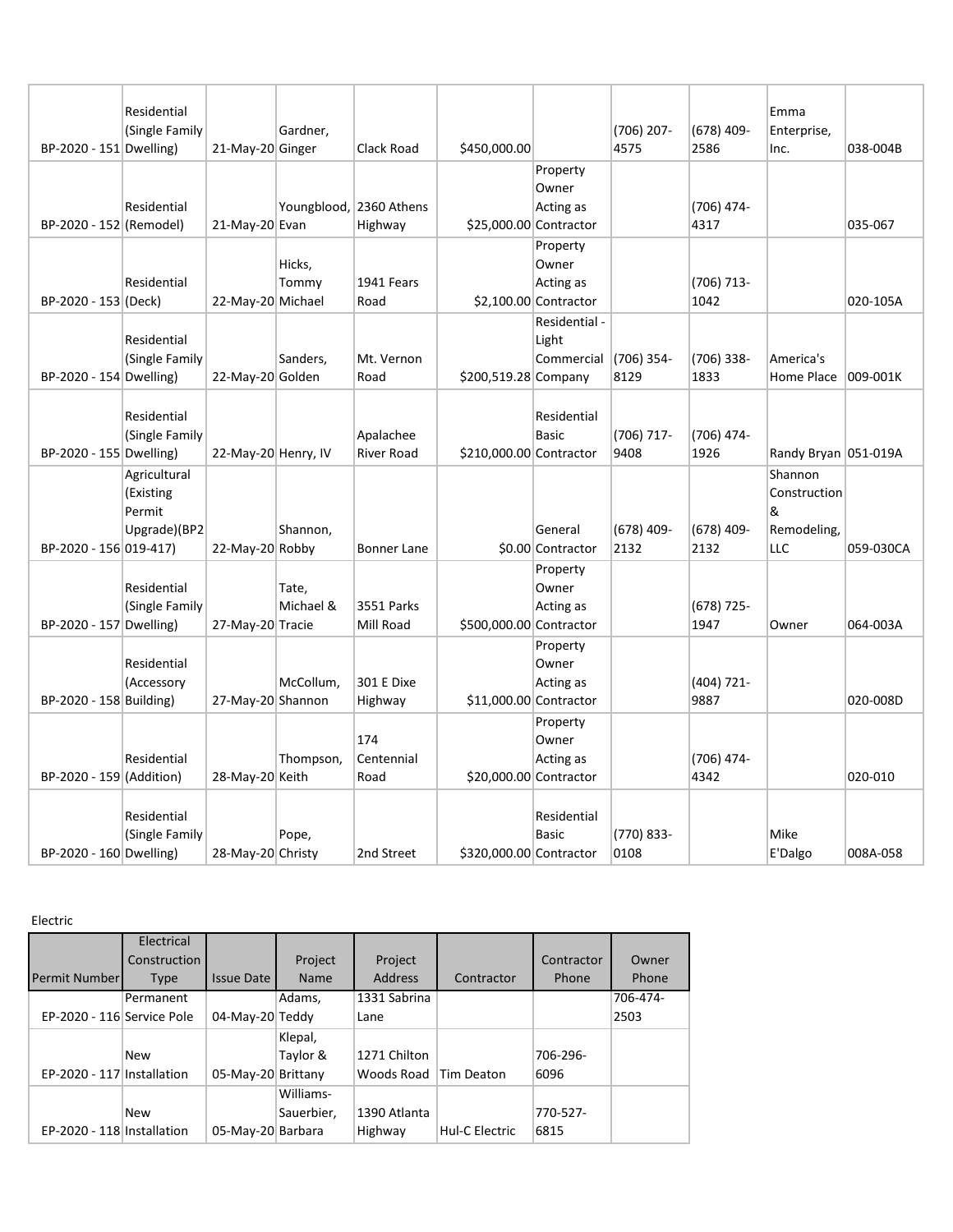|                          | Residential    |                     |                    |                         |                         |                        |                      |                      | Emma                   |           |
|--------------------------|----------------|---------------------|--------------------|-------------------------|-------------------------|------------------------|----------------------|----------------------|------------------------|-----------|
|                          | (Single Family |                     | Gardner,           |                         |                         |                        | $(706)$ 207-         | (678) 409-           | Enterprise,            |           |
| BP-2020 - 151 Dwelling)  |                | 21-May-20 Ginger    |                    | Clack Road              | \$450,000.00            |                        | 4575                 | 2586                 | Inc.                   | 038-004B  |
|                          |                |                     |                    |                         |                         | Property               |                      |                      |                        |           |
|                          |                |                     |                    |                         |                         | Owner                  |                      |                      |                        |           |
|                          | Residential    |                     |                    | Youngblood, 2360 Athens |                         | Acting as              |                      | (706) 474-           |                        |           |
| BP-2020 - 152 (Remodel)  |                | 21-May-20 Evan      |                    | Highway                 | \$25,000.00 Contractor  |                        |                      | 4317                 |                        | 035-067   |
|                          |                |                     |                    |                         |                         | Property               |                      |                      |                        |           |
|                          |                |                     | Hicks,             |                         |                         | Owner                  |                      |                      |                        |           |
|                          | Residential    |                     | Tommy              | 1941 Fears              |                         | Acting as              |                      | (706) 713-           |                        |           |
| BP-2020 - 153 (Deck)     |                | 22-May-20 Michael   |                    | Road                    |                         | $$2,100.00$ Contractor |                      | 1042                 |                        | 020-105A  |
|                          |                |                     |                    |                         |                         | Residential -          |                      |                      |                        |           |
|                          | Residential    |                     |                    |                         |                         | Light                  |                      |                      |                        |           |
|                          | (Single Family |                     | Sanders,           | Mt. Vernon              |                         | Commercial             | $(706)$ 354-         | (706) 338-           | America's              |           |
| BP-2020 - 154 Dwelling)  |                | 22-May-20 Golden    |                    | Road                    | \$200,519.28 Company    |                        | 8129                 | 1833                 | Home Place             | 009-001K  |
|                          |                |                     |                    |                         |                         |                        |                      |                      |                        |           |
|                          | Residential    |                     |                    |                         |                         | Residential            |                      |                      |                        |           |
|                          | (Single Family |                     |                    | Apalachee               |                         | <b>Basic</b>           | (706) 717-           | (706) 474-           |                        |           |
| BP-2020 - 155 Dwelling)  |                | 22-May-20 Henry, IV |                    | <b>River Road</b>       | \$210,000.00 Contractor |                        | 9408                 | 1926                 | Randy Bryan   051-019A |           |
|                          | Agricultural   |                     |                    |                         |                         |                        |                      |                      | Shannon                |           |
|                          | (Existing      |                     |                    |                         |                         |                        |                      |                      | Construction           |           |
|                          | Permit         |                     |                    |                         |                         |                        |                      |                      | &                      |           |
|                          | Upgrade)(BP2   |                     | Shannon,           |                         |                         | General                | $(678)$ 409-<br>2132 | $(678)$ 409-<br>2132 | Remodeling,<br>LLC     | 059-030CA |
| BP-2020 - 156 019-417)   |                | 22-May-20 Robby     |                    | Bonner Lane             |                         | \$0.00 Contractor      |                      |                      |                        |           |
|                          |                |                     |                    |                         |                         | Property               |                      |                      |                        |           |
|                          | Residential    |                     | Tate,<br>Michael & | 3551 Parks              |                         | Owner                  |                      |                      |                        |           |
| BP-2020 - 157 Dwelling)  | (Single Family | 27-May-20 Tracie    |                    | Mill Road               | \$500,000.00 Contractor | Acting as              |                      | $(678)$ 725-<br>1947 | Owner                  | 064-003A  |
|                          |                |                     |                    |                         |                         | Property               |                      |                      |                        |           |
|                          | Residential    |                     |                    |                         |                         | Owner                  |                      |                      |                        |           |
|                          | (Accessory     |                     | McCollum,          | 301 E Dixe              |                         | Acting as              |                      | (404) 721-           |                        |           |
| BP-2020 - 158 Building)  |                | 27-May-20 Shannon   |                    | Highway                 | \$11,000.00 Contractor  |                        |                      | 9887                 |                        | 020-008D  |
|                          |                |                     |                    |                         |                         | Property               |                      |                      |                        |           |
|                          |                |                     |                    | 174                     |                         | Owner                  |                      |                      |                        |           |
|                          | Residential    |                     | Thompson,          | Centennial              |                         | Acting as              |                      | (706) 474-           |                        |           |
| BP-2020 - 159 (Addition) |                | 28-May-20 Keith     |                    | Road                    | \$20,000.00 Contractor  |                        |                      | 4342                 |                        | 020-010   |
|                          |                |                     |                    |                         |                         |                        |                      |                      |                        |           |
|                          | Residential    |                     |                    |                         |                         | Residential            |                      |                      |                        |           |
|                          | (Single Family |                     | Pope,              |                         |                         | <b>Basic</b>           | (770) 833-           |                      | Mike                   |           |
| BP-2020 - 160 Dwelling)  |                | 28-May-20 Christy   |                    | 2nd Street              | \$320,000.00 Contractor |                        | 0108                 |                      | E'Dalgo                | 008A-058  |

Electric

|                            | Electrical   |                    |             |                |                |            |          |
|----------------------------|--------------|--------------------|-------------|----------------|----------------|------------|----------|
|                            | Construction |                    | Project     | Project        |                | Contractor | Owner    |
| <b>Permit Number</b>       | <b>Type</b>  | <b>Issue Date</b>  | <b>Name</b> | <b>Address</b> | Contractor     | Phone      | Phone    |
|                            | Permanent    |                    | Adams,      | 1331 Sabrina   |                |            | 706-474- |
| EP-2020 - 116 Service Pole |              | 04-May-20 Teddy    |             | Lane           |                |            | 2503     |
|                            |              |                    | Klepal,     |                |                |            |          |
|                            | <b>New</b>   |                    | Taylor &    | 1271 Chilton   |                | 706-296-   |          |
| EP-2020 - 117 Installation |              | 05-May-20 Brittany |             | Woods Road     | Tim Deaton     | 6096       |          |
|                            |              |                    | Williams-   |                |                |            |          |
|                            | <b>New</b>   |                    | Sauerbier,  | 1390 Atlanta   |                | 770-527-   |          |
| EP-2020 - 118 Installation |              | 05-May-20 Barbara  |             | Highway        | Hul-C Electric | 6815       |          |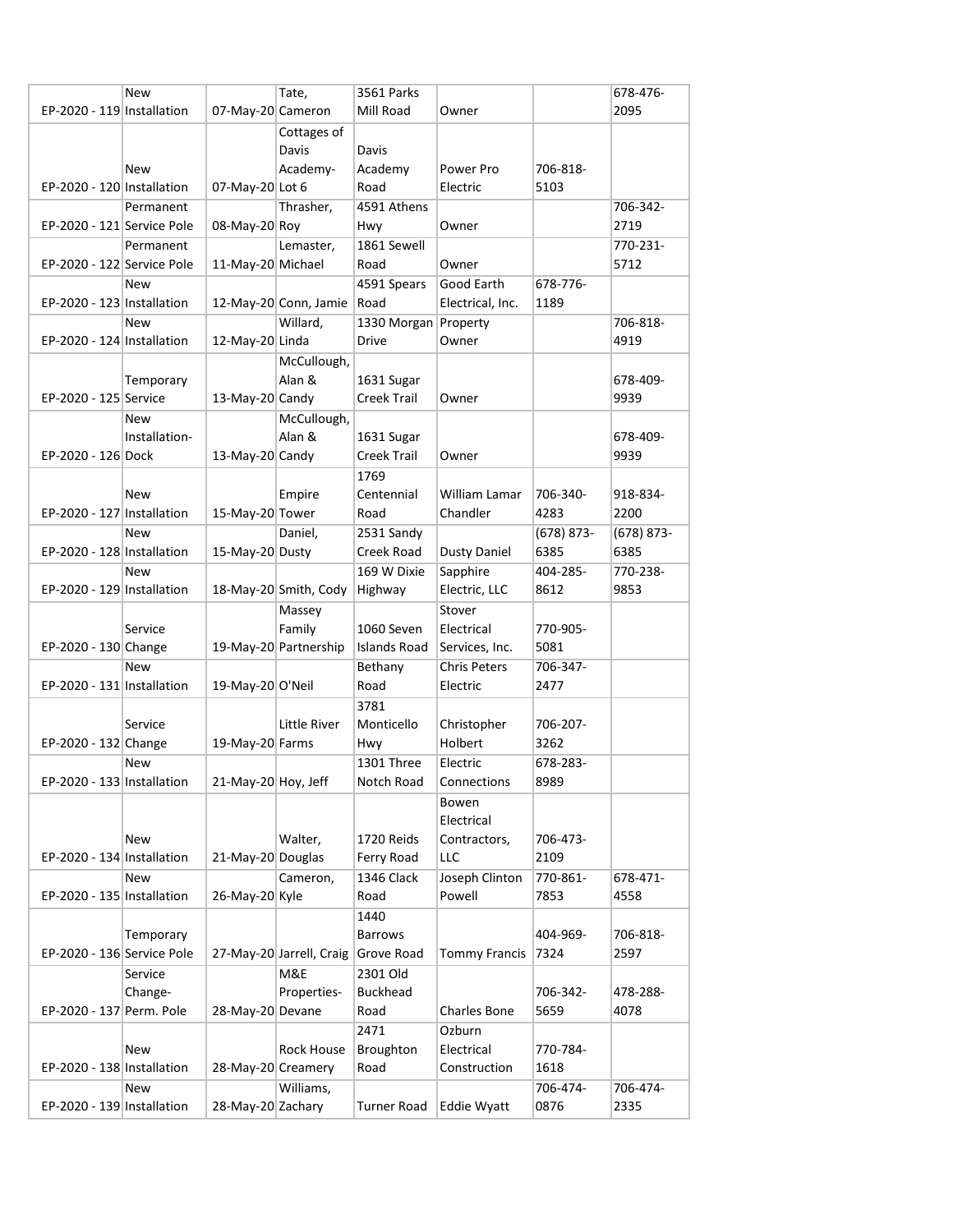|                            | New           |                     | Tate,                      | 3561 Parks           |                      |                  | 678-476-      |
|----------------------------|---------------|---------------------|----------------------------|----------------------|----------------------|------------------|---------------|
| EP-2020 - 119 Installation |               | 07-May-20 Cameron   |                            | Mill Road            | Owner                |                  | 2095          |
|                            |               |                     | Cottages of                |                      |                      |                  |               |
|                            |               |                     | Davis                      | Davis                |                      |                  |               |
|                            | New           |                     | Academy-                   | Academy              | Power Pro            | 706-818-         |               |
| EP-2020 - 120 Installation |               | 07-May-20 Lot 6     |                            | Road                 | Electric             | 5103             |               |
|                            |               |                     |                            | 4591 Athens          |                      |                  |               |
|                            | Permanent     |                     | Thrasher,                  |                      |                      |                  | 706-342-      |
| EP-2020 - 121 Service Pole |               | 08-May-20 Roy       |                            | Hwy                  | Owner                |                  | 2719          |
|                            | Permanent     |                     | Lemaster,                  | 1861 Sewell          |                      |                  | 770-231-      |
| EP-2020 - 122 Service Pole |               | 11-May-20 Michael   |                            | Road                 | Owner                |                  | 5712          |
|                            | <b>New</b>    |                     |                            | 4591 Spears          | Good Earth           | 678-776-         |               |
| EP-2020 - 123 Installation |               |                     | 12-May-20 Conn, Jamie Road |                      | Electrical, Inc.     | 1189             |               |
|                            | <b>New</b>    |                     | Willard,                   | 1330 Morgan Property |                      |                  | 706-818-      |
| EP-2020 - 124 Installation |               | 12-May-20 Linda     |                            | Drive                | Owner                |                  | 4919          |
|                            |               |                     | McCullough,                |                      |                      |                  |               |
|                            | Temporary     |                     | Alan &                     | 1631 Sugar           |                      |                  | 678-409-      |
| EP-2020 - 125 Service      |               | 13-May-20 Candy     |                            | <b>Creek Trail</b>   | Owner                |                  | 9939          |
|                            | <b>New</b>    |                     | McCullough,                |                      |                      |                  |               |
|                            | Installation- |                     | Alan &                     | 1631 Sugar           |                      |                  | 678-409-      |
| EP-2020 - 126 Dock         |               | 13-May-20 Candy     |                            | Creek Trail          | Owner                |                  | 9939          |
|                            |               |                     |                            | 1769                 |                      |                  |               |
|                            | <b>New</b>    |                     | Empire                     | Centennial           | <b>William Lamar</b> | 706-340-         | 918-834-      |
|                            |               |                     |                            |                      |                      |                  |               |
| EP-2020 - 127 Installation |               | 15-May-20 Tower     |                            | Road                 | Chandler             | 4283             | 2200          |
|                            | <b>New</b>    |                     | Daniel.                    | 2531 Sandy           |                      | (678) 873-       | $(678) 873 -$ |
| EP-2020 - 128 Installation |               | 15-May-20 Dusty     |                            | Creek Road           | <b>Dusty Daniel</b>  | 6385             | 6385          |
|                            | <b>New</b>    |                     |                            | 169 W Dixie          | Sapphire             | 404-285-         | 770-238-      |
| EP-2020 - 129 Installation |               |                     | 18-May-20 Smith, Cody      | Highway              | Electric, LLC        | 8612             | 9853          |
|                            |               |                     | Massey                     |                      | Stover               |                  |               |
|                            | Service       |                     | Family                     | 1060 Seven           | Electrical           | 770-905-         |               |
| EP-2020 - 130 Change       |               |                     | 19-May-20 Partnership      | <b>Islands Road</b>  | Services, Inc.       | 5081             |               |
|                            | <b>New</b>    |                     |                            | Bethany              | <b>Chris Peters</b>  | 706-347-         |               |
| EP-2020 - 131 Installation |               | 19-May-20 O'Neil    |                            | Road                 | Electric             | 2477             |               |
|                            |               |                     |                            | 3781                 |                      |                  |               |
|                            | Service       |                     | Little River               | Monticello           | Christopher          | 706-207-         |               |
| EP-2020 - 132 Change       |               | 19-May-20 Farms     |                            | Hwy                  | Holbert              | 3262             |               |
|                            | New           |                     |                            | 1301 Three           | Electric             | 678-283-         |               |
| EP-2020 - 133 Installation |               | 21-May-20 Hoy, Jeff |                            | Notch Road           | Connections          | 8989             |               |
|                            |               |                     |                            |                      |                      |                  |               |
|                            |               |                     |                            |                      | Bowen<br>Electrical  |                  |               |
|                            |               |                     |                            |                      |                      |                  |               |
|                            | New           |                     | Walter,                    | 1720 Reids           | Contractors,         | 706-473-<br>2109 |               |
| EP-2020 - 134 Installation |               | 21-May-20 Douglas   |                            | Ferry Road           | LLC                  |                  |               |
|                            | New           |                     | Cameron,                   | 1346 Clack           | Joseph Clinton       | 770-861-         | 678-471-      |
| EP-2020 - 135 Installation |               | 26-May-20 Kyle      |                            | Road                 | Powell               | 7853             | 4558          |
|                            |               |                     |                            | 1440                 |                      |                  |               |
|                            | Temporary     |                     |                            | <b>Barrows</b>       |                      | 404-969-         | 706-818-      |
| EP-2020 - 136 Service Pole |               |                     | 27-May-20 Jarrell, Craig   | Grove Road           | <b>Tommy Francis</b> | 7324             | 2597          |
|                            | Service       |                     | M&E                        | 2301 Old             |                      |                  |               |
|                            | Change-       |                     | Properties-                | <b>Buckhead</b>      |                      | 706-342-         | 478-288-      |
| EP-2020 - 137 Perm. Pole   |               | 28-May-20 Devane    |                            | Road                 | Charles Bone         | 5659             | 4078          |
|                            |               |                     |                            | 2471                 | Ozburn               |                  |               |
|                            | <b>New</b>    |                     | Rock House                 | Broughton            | Electrical           | 770-784-         |               |
| EP-2020 - 138 Installation |               | 28-May-20 Creamery  |                            | Road                 | Construction         | 1618             |               |
|                            | New           |                     | Williams,                  |                      |                      | 706-474-         | 706-474-      |
| EP-2020 - 139 Installation |               | 28-May-20 Zachary   |                            | <b>Turner Road</b>   | <b>Eddie Wyatt</b>   | 0876             | 2335          |
|                            |               |                     |                            |                      |                      |                  |               |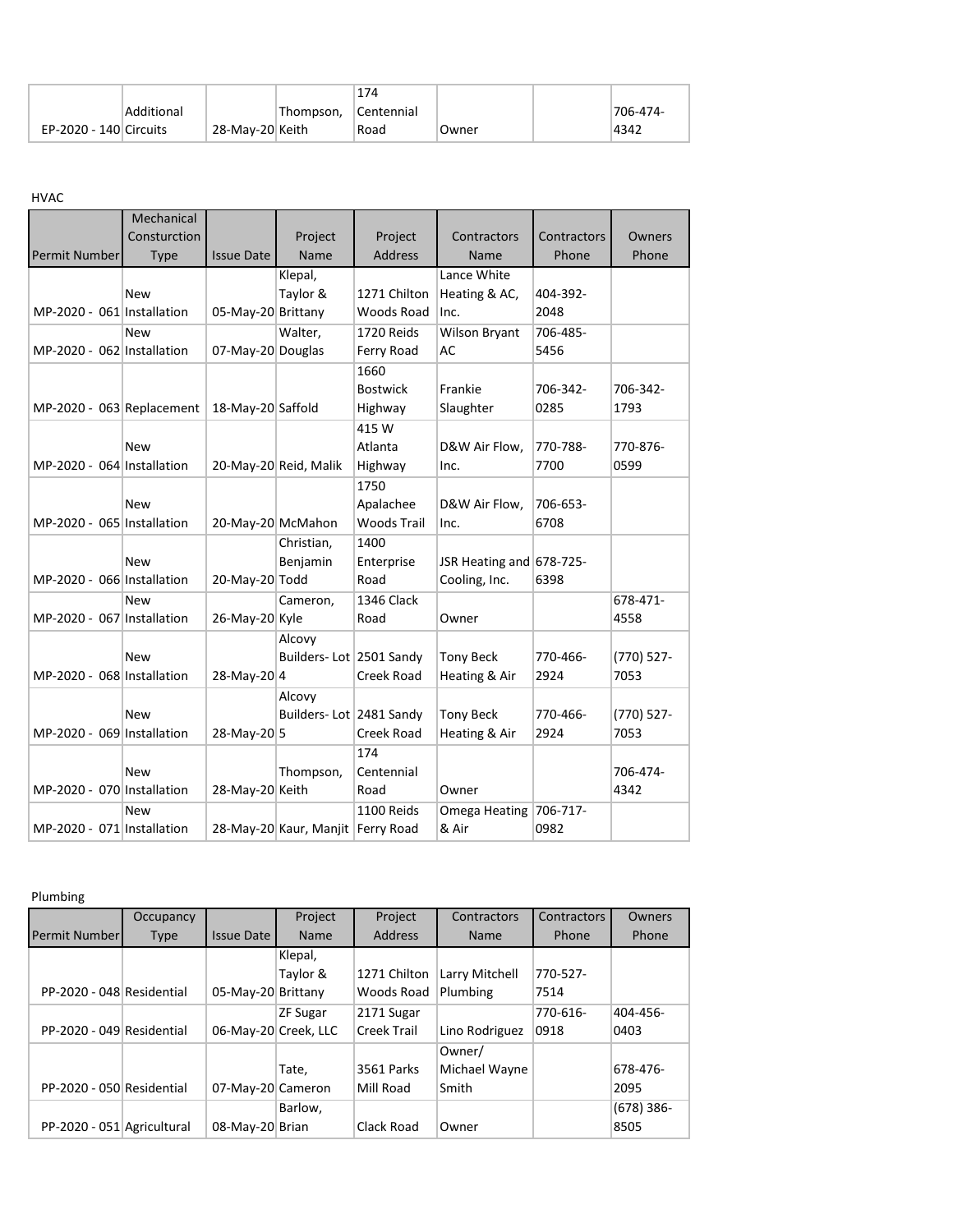|                        |            |                 |            | 174        |       |          |
|------------------------|------------|-----------------|------------|------------|-------|----------|
|                        | Additional |                 | 'Thompson, | Centennial |       | 706-474- |
| EP-2020 - 140 Circuits |            | 28-May-20 Keith |            | Road       | Owner | 4342     |

HVAC

| <b>Permit Number</b>       | Mechanical<br>Consturction<br><b>Type</b> | <b>Issue Date</b>  | Project<br>Name                   | Project<br><b>Address</b> | Contractors<br>Name        | Contractors<br>Phone | Owners<br>Phone |
|----------------------------|-------------------------------------------|--------------------|-----------------------------------|---------------------------|----------------------------|----------------------|-----------------|
|                            |                                           |                    | Klepal,                           |                           | Lance White                |                      |                 |
|                            | <b>New</b>                                |                    | Taylor &                          | 1271 Chilton              | Heating & AC,              | 404-392-             |                 |
| MP-2020 - 061 Installation |                                           | 05-May-20 Brittany |                                   | Woods Road                | Inc.                       | 2048                 |                 |
|                            | <b>New</b>                                |                    | Walter,                           | 1720 Reids                |                            | 706-485-             |                 |
| MP-2020 - 062 Installation |                                           |                    |                                   |                           | <b>Wilson Bryant</b><br>AC | 5456                 |                 |
|                            |                                           | 07-May-20 Douglas  |                                   | Ferry Road                |                            |                      |                 |
|                            |                                           |                    |                                   | 1660                      |                            |                      |                 |
|                            |                                           |                    |                                   | <b>Bostwick</b>           | Frankie                    | 706-342-             | 706-342-        |
| MP-2020 - 063 Replacement  |                                           | 18-May-20 Saffold  |                                   | Highway                   | Slaughter                  | 0285                 | 1793            |
|                            |                                           |                    |                                   | 415 W                     |                            |                      |                 |
|                            | <b>New</b>                                |                    |                                   | Atlanta                   | D&W Air Flow,              | 770-788-             | 770-876-        |
| MP-2020 - 064 Installation |                                           |                    | 20-May-20 Reid, Malik             | Highway                   | Inc.                       | 7700                 | 0599            |
|                            |                                           |                    |                                   | 1750                      |                            |                      |                 |
|                            | <b>New</b>                                |                    |                                   | Apalachee                 | D&W Air Flow,              | 706-653-             |                 |
| MP-2020 - 065 Installation |                                           | 20-May-20 McMahon  |                                   | <b>Woods Trail</b>        | Inc.                       | 6708                 |                 |
|                            |                                           |                    | Christian,                        | 1400                      |                            |                      |                 |
|                            | <b>New</b>                                |                    | Benjamin                          | Enterprise                | JSR Heating and 678-725-   |                      |                 |
| MP-2020 - 066 Installation |                                           | 20-May-20 Todd     |                                   | Road                      | Cooling, Inc.              | 6398                 |                 |
|                            | <b>New</b>                                |                    | Cameron,                          | 1346 Clack                |                            |                      | 678-471-        |
| MP-2020 - 067 Installation |                                           | 26-May-20 Kyle     |                                   | Road                      | Owner                      |                      | 4558            |
|                            |                                           |                    | Alcovy                            |                           |                            |                      |                 |
|                            | <b>New</b>                                |                    | Builders-Lot 2501 Sandy           |                           | <b>Tony Beck</b>           | 770-466-             | (770) 527-      |
| MP-2020 - 068 Installation |                                           | 28-May-20 4        |                                   | Creek Road                | Heating & Air              | 2924                 | 7053            |
|                            |                                           |                    | Alcovy                            |                           |                            |                      |                 |
|                            | <b>New</b>                                |                    | Builders-Lot 2481 Sandy           |                           | <b>Tony Beck</b>           | 770-466-             | (770) 527-      |
| MP-2020 - 069 Installation |                                           | 28-May-20 5        |                                   | Creek Road                | Heating & Air              | 2924                 | 7053            |
|                            |                                           |                    |                                   | 174                       |                            |                      |                 |
|                            | <b>New</b>                                |                    | Thompson,                         | Centennial                |                            |                      | 706-474-        |
| MP-2020 - 070 Installation |                                           | 28-May-20 Keith    |                                   | Road                      | Owner                      |                      | 4342            |
|                            | <b>New</b>                                |                    |                                   | 1100 Reids                | Omega Heating              | 706-717-             |                 |
| MP-2020 - 071 Installation |                                           |                    |                                   |                           | & Air                      | 0982                 |                 |
|                            |                                           |                    | 28-May-20 Kaur, Manjit Ferry Road |                           |                            |                      |                 |

## Plumbing

|                            | Occupancy   |                      | Project         | Project        | Contractors    | Contractors | Owners       |
|----------------------------|-------------|----------------------|-----------------|----------------|----------------|-------------|--------------|
| <b>Permit Number</b>       | <b>Type</b> | <b>Issue Date</b>    | <b>Name</b>     | <b>Address</b> | <b>Name</b>    | Phone       | Phone        |
|                            |             |                      | Klepal,         |                |                |             |              |
|                            |             |                      | Taylor &        | 1271 Chilton   | Larry Mitchell | 770-527-    |              |
| PP-2020 - 048 Residential  |             | 05-May-20 Brittany   |                 | Woods Road     | Plumbing       | 7514        |              |
|                            |             |                      | <b>ZF Sugar</b> | 2171 Sugar     |                | 770-616-    | 404-456-     |
| PP-2020 - 049 Residential  |             | 06-May-20 Creek, LLC |                 | Creek Trail    | Lino Rodriguez | 0918        | 0403         |
|                            |             |                      |                 |                | Owner/         |             |              |
|                            |             |                      | Tate,           | 3561 Parks     | Michael Wayne  |             | 678-476-     |
| PP-2020 - 050 Residential  |             | 07-May-20 Cameron    |                 | Mill Road      | Smith          |             | 2095         |
|                            |             |                      | Barlow,         |                |                |             | $(678)$ 386- |
| PP-2020 - 051 Agricultural |             | 08-May-20 Brian      |                 | Clack Road     | Owner          |             | 8505         |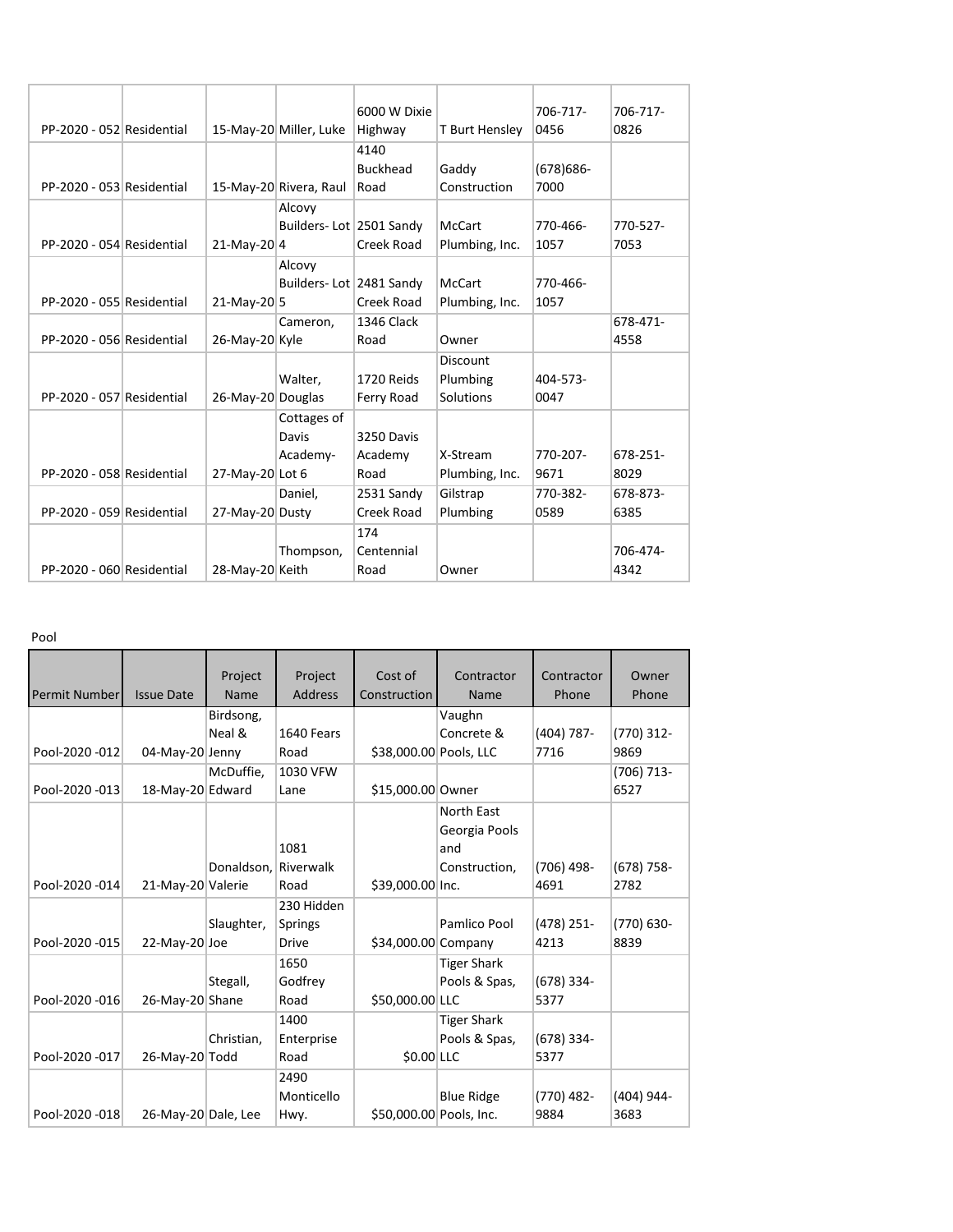|                           |                   |                         | 6000 W Dixie      |                | 706-717-     | 706-717- |
|---------------------------|-------------------|-------------------------|-------------------|----------------|--------------|----------|
| PP-2020 - 052 Residential |                   | 15-May-20 Miller, Luke  | Highway           | T Burt Hensley | 0456         | 0826     |
|                           |                   |                         | 4140              |                |              |          |
|                           |                   |                         | <b>Buckhead</b>   | Gaddy          | $(678)686 -$ |          |
| PP-2020 - 053 Residential |                   | 15-May-20 Rivera, Raul  | Road              | Construction   | 7000         |          |
|                           |                   | Alcovy                  |                   |                |              |          |
|                           |                   | Builders-Lot 2501 Sandy |                   | <b>McCart</b>  | 770-466-     | 770-527- |
| PP-2020 - 054 Residential | $21-Mav-20$  4    |                         | Creek Road        | Plumbing, Inc. | 1057         | 7053     |
|                           |                   | Alcovy                  |                   |                |              |          |
|                           |                   | Builders-Lot 2481 Sandy |                   | McCart         | 770-466-     |          |
| PP-2020 - 055 Residential | 21-May-20 5       |                         | Creek Road        | Plumbing, Inc. | 1057         |          |
|                           |                   | Cameron,                | <b>1346 Clack</b> |                |              | 678-471- |
| PP-2020 - 056 Residential | 26-May-20 Kyle    |                         | Road              | Owner          |              | 4558     |
|                           |                   |                         |                   | Discount       |              |          |
|                           |                   | Walter,                 | 1720 Reids        | Plumbing       | 404-573-     |          |
| PP-2020 - 057 Residential | 26-May-20 Douglas |                         | Ferry Road        | Solutions      | 0047         |          |
|                           |                   | Cottages of             |                   |                |              |          |
|                           |                   | Davis                   | 3250 Davis        |                |              |          |
|                           |                   | Academy-                | Academy           | X-Stream       | 770-207-     | 678-251- |
| PP-2020 - 058 Residential | 27-May-20 Lot 6   |                         | Road              | Plumbing, Inc. | 9671         | 8029     |
|                           |                   | Daniel,                 | 2531 Sandy        | Gilstrap       | 770-382-     | 678-873- |
| PP-2020 - 059 Residential | 27-May-20 Dusty   |                         | Creek Road        | Plumbing       | 0589         | 6385     |
|                           |                   |                         | 174               |                |              |          |
|                           |                   | Thompson,               | Centennial        |                |              | 706-474- |
| PP-2020 - 060 Residential | 28-May-20 Keith   |                         | Road              | Owner          |              | 4342     |

Pool

| <b>Permit Number</b> | <b>Issue Date</b>   | Project<br><b>Name</b> | Project<br><b>Address</b> | Cost of<br>Construction | Contractor<br><b>Name</b> | Contractor<br>Phone | Owner<br>Phone |
|----------------------|---------------------|------------------------|---------------------------|-------------------------|---------------------------|---------------------|----------------|
|                      |                     | Birdsong,              |                           |                         | Vaughn                    |                     |                |
|                      |                     | Neal &                 | 1640 Fears                |                         | Concrete &                | $(404)$ 787-        | $(770)$ 312-   |
| Pool-2020 -012       | 04-May-20 Jenny     |                        | Road                      | \$38,000.00 Pools, LLC  |                           | 7716                | 9869           |
|                      |                     | McDuffie,              | 1030 VFW                  |                         |                           |                     | $(706)$ 713-   |
| Pool-2020 -013       | 18-May-20 Edward    |                        | Lane                      | \$15,000.00 Owner       |                           |                     | 6527           |
|                      |                     |                        |                           |                         | North East                |                     |                |
|                      |                     |                        |                           |                         | Georgia Pools             |                     |                |
|                      |                     |                        | 1081                      |                         | and                       |                     |                |
|                      |                     | Donaldson.             | Riverwalk                 |                         | Construction,             | $(706)$ 498-        | $(678)$ 758-   |
| Pool-2020 -014       | 21-May-20 Valerie   |                        | Road                      | \$39,000.00 Inc.        |                           | 4691                | 2782           |
|                      |                     |                        | 230 Hidden                |                         |                           |                     |                |
|                      |                     | Slaughter,             | Springs                   |                         | Pamlico Pool              | $(478)$ 251-        | $(770) 630 -$  |
| Pool-2020 -015       | 22-May-20 Joe       |                        | <b>Drive</b>              | \$34,000.00 Company     |                           | 4213                | 8839           |
|                      |                     |                        | 1650                      |                         | <b>Tiger Shark</b>        |                     |                |
|                      |                     | Stegall,               | Godfrey                   |                         | Pools & Spas,             | $(678)$ 334-        |                |
| Pool-2020 -016       | 26-May-20 Shane     |                        | Road                      | \$50,000.00 LLC         |                           | 5377                |                |
|                      |                     |                        | 1400                      |                         | <b>Tiger Shark</b>        |                     |                |
|                      |                     | Christian,             | Enterprise                |                         | Pools & Spas,             | $(678)$ 334-        |                |
| Pool-2020 -017       | 26-May-20 Todd      |                        | Road                      | \$0.00 LLC              |                           | 5377                |                |
|                      |                     |                        | 2490                      |                         |                           |                     |                |
|                      |                     |                        | Monticello                |                         | <b>Blue Ridge</b>         | $(770)$ 482-        | (404) 944-     |
| Pool-2020 -018       | 26-May-20 Dale, Lee |                        | Hwy.                      | \$50,000.00 Pools, Inc. |                           | 9884                | 3683           |